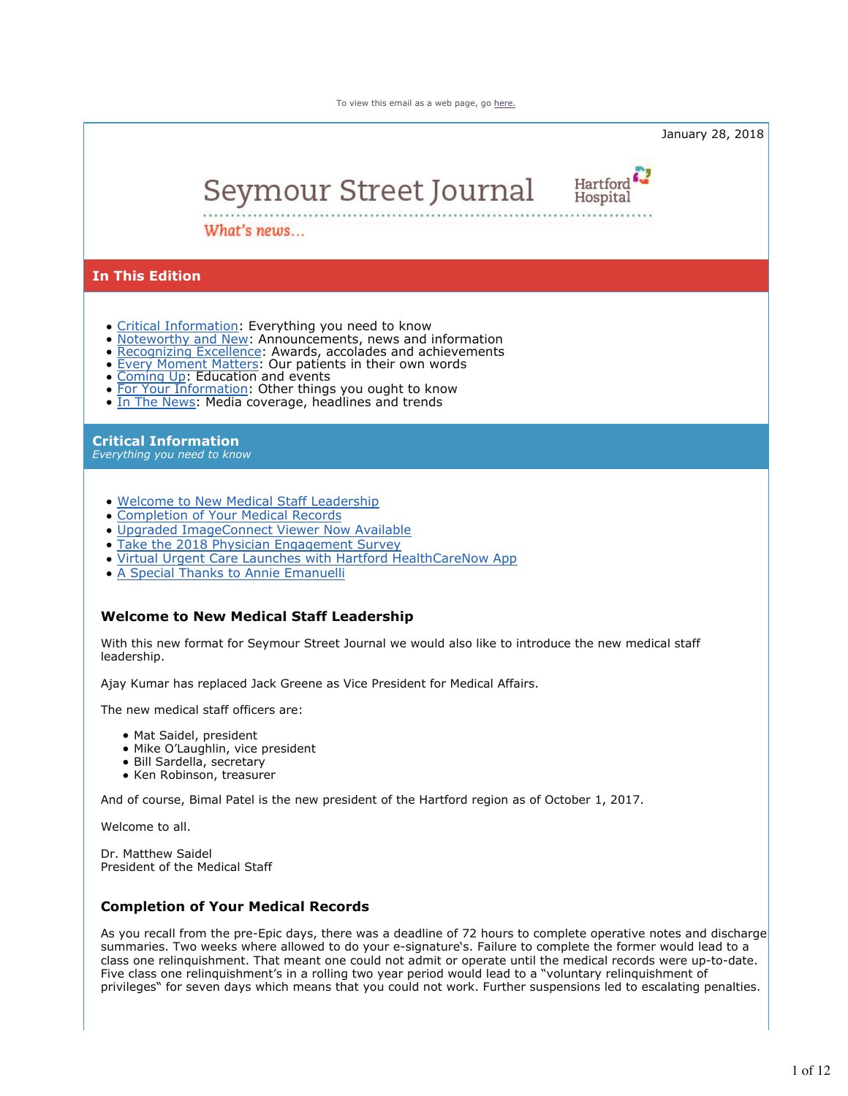To view this email as a web page, go here.

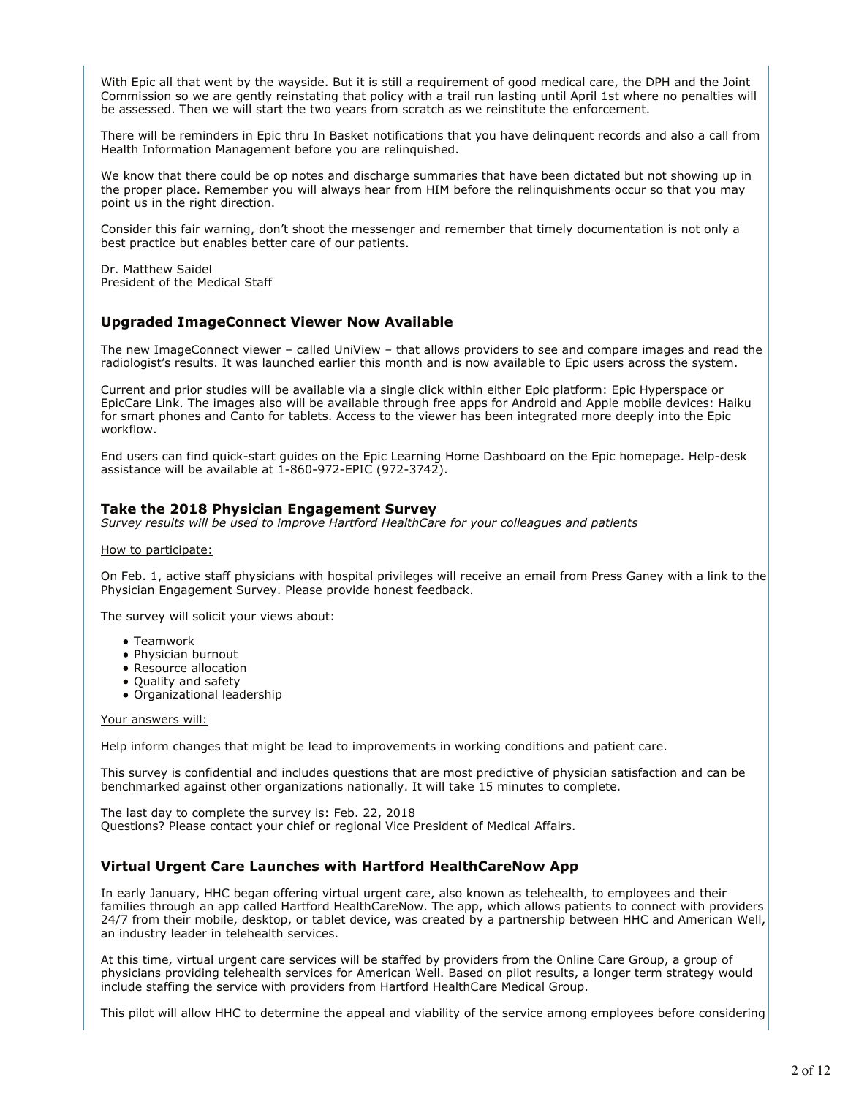With Epic all that went by the wayside. But it is still a requirement of good medical care, the DPH and the Joint Commission so we are gently reinstating that policy with a trail run lasting until April 1st where no penalties will be assessed. Then we will start the two years from scratch as we reinstitute the enforcement.

There will be reminders in Epic thru In Basket notifications that you have delinquent records and also a call from Health Information Management before you are relinquished.

We know that there could be op notes and discharge summaries that have been dictated but not showing up in the proper place. Remember you will always hear from HIM before the relinquishments occur so that you may point us in the right direction.

Consider this fair warning, don't shoot the messenger and remember that timely documentation is not only a best practice but enables better care of our patients.

Dr. Matthew Saidel President of the Medical Staff

### **Upgraded ImageConnect Viewer Now Available**

The new ImageConnect viewer – called UniView – that allows providers to see and compare images and read the radiologist's results. It was launched earlier this month and is now available to Epic users across the system.

Current and prior studies will be available via a single click within either Epic platform: Epic Hyperspace or EpicCare Link. The images also will be available through free apps for Android and Apple mobile devices: Haiku for smart phones and Canto for tablets. Access to the viewer has been integrated more deeply into the Epic workflow.

End users can find quick-start guides on the Epic Learning Home Dashboard on the Epic homepage. Help-desk assistance will be available at 1-860-972-EPIC (972-3742).

### **Take the 2018 Physician Engagement Survey**

*Survey results will be used to improve Hartford HealthCare for your colleagues and patients*

#### How to participate:

On Feb. 1, active staff physicians with hospital privileges will receive an email from Press Ganey with a link to the Physician Engagement Survey. Please provide honest feedback.

The survey will solicit your views about:

- Teamwork
- Physician burnout
- Resource allocation
- Quality and safety
- Organizational leadership

#### Your answers will:

Help inform changes that might be lead to improvements in working conditions and patient care.

This survey is confidential and includes questions that are most predictive of physician satisfaction and can be benchmarked against other organizations nationally. It will take 15 minutes to complete.

The last day to complete the survey is: Feb. 22, 2018 Questions? Please contact your chief or regional Vice President of Medical Affairs.

# **Virtual Urgent Care Launches with Hartford HealthCareNow App**

In early January, HHC began offering virtual urgent care, also known as telehealth, to employees and their families through an app called Hartford HealthCareNow. The app, which allows patients to connect with providers 24/7 from their mobile, desktop, or tablet device, was created by a partnership between HHC and American Well, an industry leader in telehealth services.

At this time, virtual urgent care services will be staffed by providers from the Online Care Group, a group of physicians providing telehealth services for American Well. Based on pilot results, a longer term strategy would include staffing the service with providers from Hartford HealthCare Medical Group.

This pilot will allow HHC to determine the appeal and viability of the service among employees before considering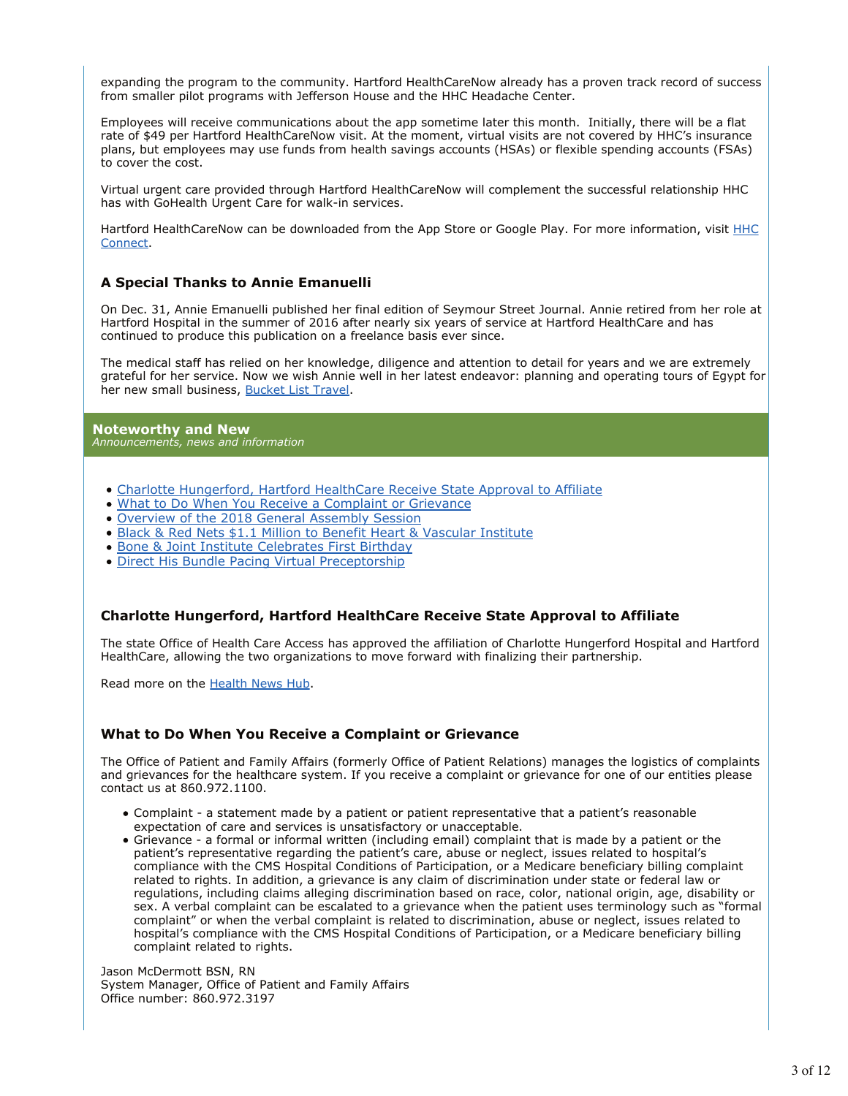expanding the program to the community. Hartford HealthCareNow already has a proven track record of success from smaller pilot programs with Jefferson House and the HHC Headache Center.

Employees will receive communications about the app sometime later this month. Initially, there will be a flat rate of \$49 per Hartford HealthCareNow visit. At the moment, virtual visits are not covered by HHC's insurance plans, but employees may use funds from health savings accounts (HSAs) or flexible spending accounts (FSAs) to cover the cost.

Virtual urgent care provided through Hartford HealthCareNow will complement the successful relationship HHC has with GoHealth Urgent Care for walk-in services.

Hartford HealthCareNow can be downloaded from the App Store or Google Play. For more information, visit **HHC** Connect.

# **A Special Thanks to Annie Emanuelli**

On Dec. 31, Annie Emanuelli published her final edition of Seymour Street Journal. Annie retired from her role at Hartford Hospital in the summer of 2016 after nearly six years of service at Hartford HealthCare and has continued to produce this publication on a freelance basis ever since.

The medical staff has relied on her knowledge, diligence and attention to detail for years and we are extremely grateful for her service. Now we wish Annie well in her latest endeavor: planning and operating tours of Egypt for her new small business, Bucket List Travel.

#### **Noteworthy and New** *Announcements, news and information*

- Charlotte Hungerford, Hartford HealthCare Receive State Approval to Affiliate
- What to Do When You Receive a Complaint or Grievance
- Overview of the 2018 General Assembly Session
- Black & Red Nets \$1.1 Million to Benefit Heart & Vascular Institute
- Bone & Joint Institute Celebrates First Birthday
- Direct His Bundle Pacing Virtual Preceptorship

# **Charlotte Hungerford, Hartford HealthCare Receive State Approval to Affiliate**

The state Office of Health Care Access has approved the affiliation of Charlotte Hungerford Hospital and Hartford HealthCare, allowing the two organizations to move forward with finalizing their partnership.

Read more on the Health News Hub.

# **What to Do When You Receive a Complaint or Grievance**

The Office of Patient and Family Affairs (formerly Office of Patient Relations) manages the logistics of complaints and grievances for the healthcare system. If you receive a complaint or grievance for one of our entities please contact us at 860.972.1100.

- Complaint a statement made by a patient or patient representative that a patient's reasonable expectation of care and services is unsatisfactory or unacceptable.
- Grievance a formal or informal written (including email) complaint that is made by a patient or the patient's representative regarding the patient's care, abuse or neglect, issues related to hospital's compliance with the CMS Hospital Conditions of Participation, or a Medicare beneficiary billing complaint related to rights. In addition, a grievance is any claim of discrimination under state or federal law or regulations, including claims alleging discrimination based on race, color, national origin, age, disability or sex. A verbal complaint can be escalated to a grievance when the patient uses terminology such as "formal complaint" or when the verbal complaint is related to discrimination, abuse or neglect, issues related to hospital's compliance with the CMS Hospital Conditions of Participation, or a Medicare beneficiary billing complaint related to rights.

Jason McDermott BSN, RN System Manager, Office of Patient and Family Affairs Office number: 860.972.3197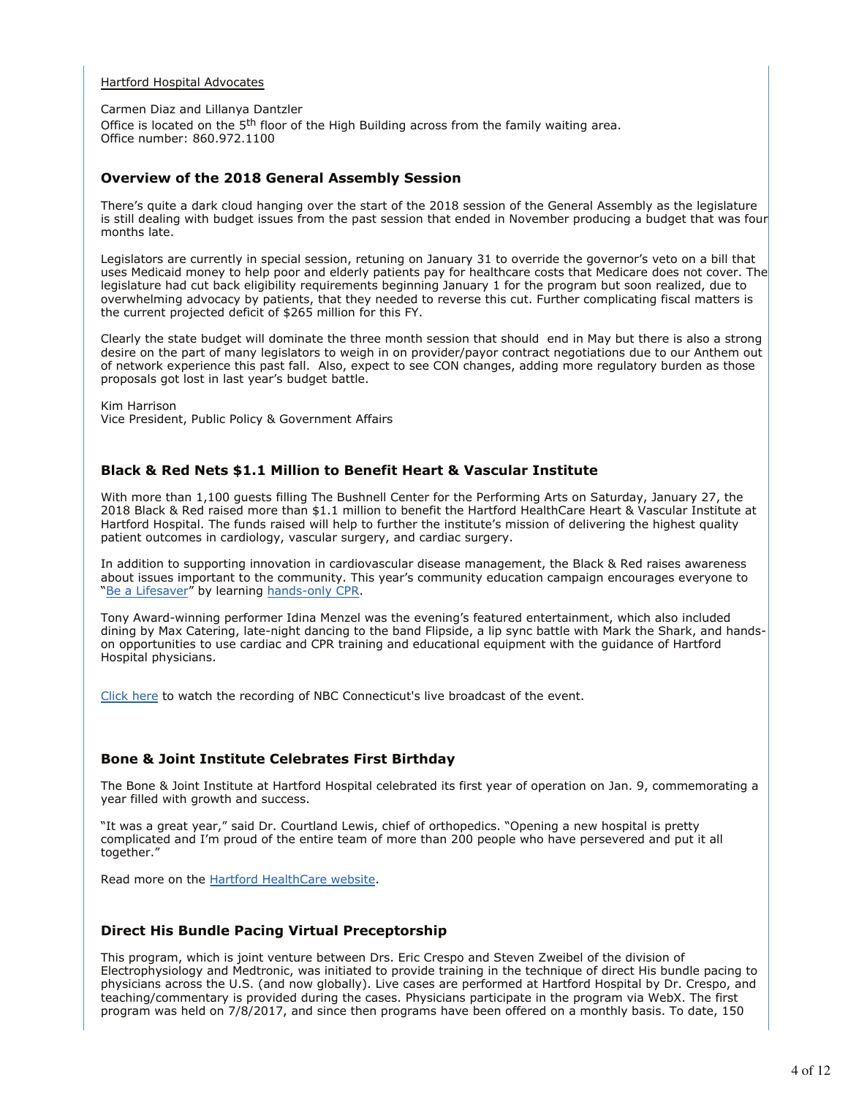#### Hartford Hospital Advocates

Carmen Diaz and Lillanya Dantzler

Office is located on the 5<sup>th</sup> floor of the High Building across from the family waiting area. Office number: 860.972.1100

# **Overview of the 2018 General Assembly Session**

There's quite a dark cloud hanging over the start of the 2018 session of the General Assembly as the legislature is still dealing with budget issues from the past session that ended in November producing a budget that was four months late.

Legislators are currently in special session, retuning on January 31 to override the governor's veto on a bill that uses Medicaid money to help poor and elderly patients pay for healthcare costs that Medicare does not cover. The legislature had cut back eligibility requirements beginning January 1 for the program but soon realized, due to overwhelming advocacy by patients, that they needed to reverse this cut. Further complicating fiscal matters is the current projected deficit of \$265 million for this FY.

Clearly the state budget will dominate the three month session that should end in May but there is also a strong desire on the part of many legislators to weigh in on provider/payor contract negotiations due to our Anthem out of network experience this past fall. Also, expect to see CON changes, adding more regulatory burden as those proposals got lost in last year's budget battle.

Kim Harrison Vice President, Public Policy & Government Affairs

# **Black & Red Nets \$1.1 Million to Benefit Heart & Vascular Institute**

With more than 1,100 guests filling The Bushnell Center for the Performing Arts on Saturday, January 27, the 2018 Black & Red raised more than \$1.1 million to benefit the Hartford HealthCare Heart & Vascular Institute at Hartford Hospital. The funds raised will help to further the institute's mission of delivering the highest quality patient outcomes in cardiology, vascular surgery, and cardiac surgery.

In addition to supporting innovation in cardiovascular disease management, the Black & Red raises awareness about issues important to the community. This year's community education campaign encourages everyone to "Be a Lifesaver" by learning hands-only CPR.

Tony Award-winning performer Idina Menzel was the evening's featured entertainment, which also included dining by Max Catering, late-night dancing to the band Flipside, a lip sync battle with Mark the Shark, and handson opportunities to use cardiac and CPR training and educational equipment with the guidance of Hartford Hospital physicians.

Click here to watch the recording of NBC Connecticut's live broadcast of the event.

# **Bone & Joint Institute Celebrates First Birthday**

The Bone & Joint Institute at Hartford Hospital celebrated its first year of operation on Jan. 9, commemorating a year filled with growth and success.

"It was a great year," said Dr. Courtland Lewis, chief of orthopedics. "Opening a new hospital is pretty complicated and I'm proud of the entire team of more than 200 people who have persevered and put it all together."

Read more on the Hartford HealthCare website.

# **Direct His Bundle Pacing Virtual Preceptorship**

This program, which is joint venture between Drs. Eric Crespo and Steven Zweibel of the division of Electrophysiology and Medtronic, was initiated to provide training in the technique of direct His bundle pacing to physicians across the U.S. (and now globally). Live cases are performed at Hartford Hospital by Dr. Crespo, and teaching/commentary is provided during the cases. Physicians participate in the program via WebX. The first program was held on 7/8/2017, and since then programs have been offered on a monthly basis. To date, 150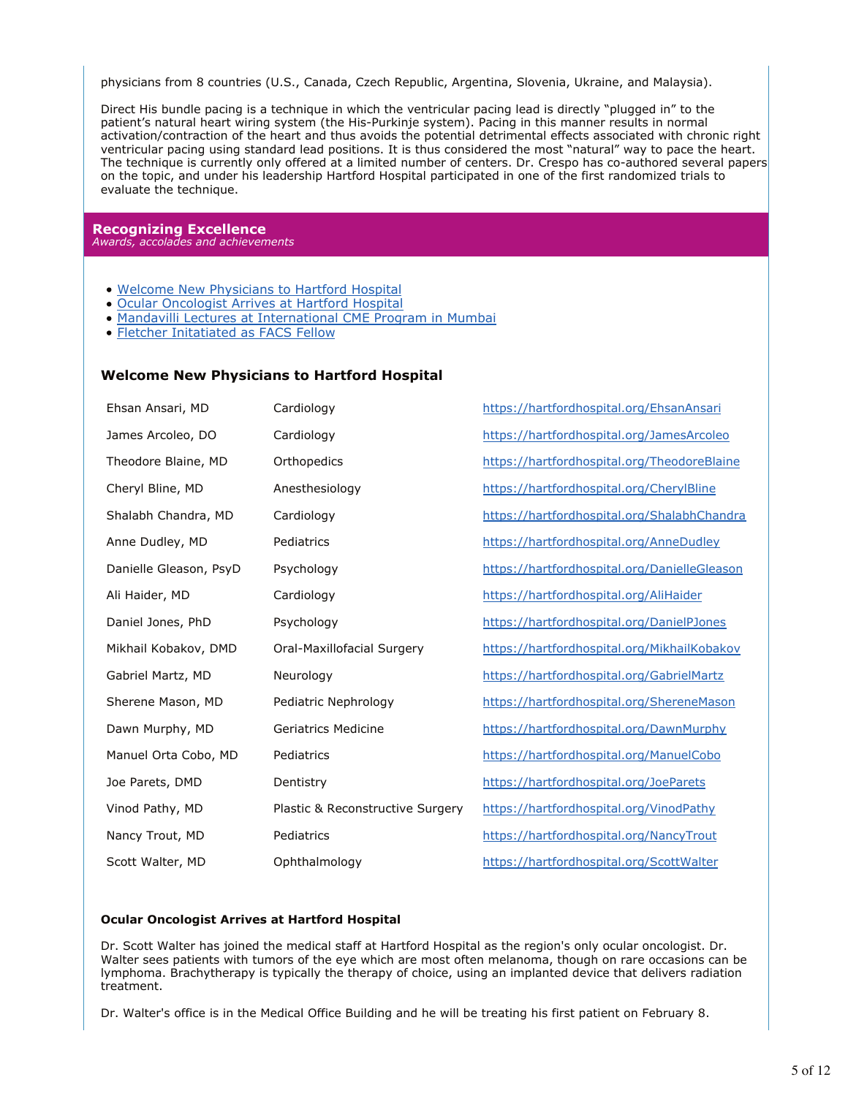physicians from 8 countries (U.S., Canada, Czech Republic, Argentina, Slovenia, Ukraine, and Malaysia).

Direct His bundle pacing is a technique in which the ventricular pacing lead is directly "plugged in" to the patient's natural heart wiring system (the His-Purkinje system). Pacing in this manner results in normal activation/contraction of the heart and thus avoids the potential detrimental effects associated with chronic right ventricular pacing using standard lead positions. It is thus considered the most "natural" way to pace the heart. The technique is currently only offered at a limited number of centers. Dr. Crespo has co-authored several papers on the topic, and under his leadership Hartford Hospital participated in one of the first randomized trials to evaluate the technique.

#### **Recognizing Excellence** *Awards, accolades and achievements*

- Welcome New Physicians to Hartford Hospital
- Ocular Oncologist Arrives at Hartford Hospital
- Mandavilli Lectures at International CME Program in Mumbai
- Fletcher Initatiated as FACS Fellow

# **Welcome New Physicians to Hartford Hospital**

| Ehsan Ansari, MD       | Cardiology                       | https://hartfordhospital.org/EhsanAnsari     |
|------------------------|----------------------------------|----------------------------------------------|
| James Arcoleo, DO      | Cardiology                       | https://hartfordhospital.org/JamesArcoleo    |
| Theodore Blaine, MD    | Orthopedics                      | https://hartfordhospital.org/TheodoreBlaine  |
| Cheryl Bline, MD       | Anesthesiology                   | https://hartfordhospital.org/CherylBline     |
| Shalabh Chandra, MD    | Cardiology                       | https://hartfordhospital.org/ShalabhChandra  |
| Anne Dudley, MD        | Pediatrics                       | https://hartfordhospital.org/AnneDudley      |
| Danielle Gleason, PsyD | Psychology                       | https://hartfordhospital.org/DanielleGleason |
| Ali Haider, MD         | Cardiology                       | https://hartfordhospital.org/AliHaider       |
| Daniel Jones, PhD      | Psychology                       | https://hartfordhospital.org/DanielPJones    |
| Mikhail Kobakov, DMD   | Oral-Maxillofacial Surgery       | https://hartfordhospital.org/MikhailKobakov  |
| Gabriel Martz, MD      | Neurology                        | https://hartfordhospital.org/GabrielMartz    |
| Sherene Mason, MD      | Pediatric Nephrology             | https://hartfordhospital.org/ShereneMason    |
| Dawn Murphy, MD        | Geriatrics Medicine              | https://hartfordhospital.org/DawnMurphy      |
| Manuel Orta Cobo, MD   | Pediatrics                       | https://hartfordhospital.org/ManuelCobo      |
| Joe Parets, DMD        | Dentistry                        | https://hartfordhospital.org/JoeParets       |
| Vinod Pathy, MD        | Plastic & Reconstructive Surgery | https://hartfordhospital.org/VinodPathy      |
| Nancy Trout, MD        | Pediatrics                       | https://hartfordhospital.org/NancyTrout      |
| Scott Walter, MD       | Ophthalmology                    | https://hartfordhospital.org/ScottWalter     |

### **Ocular Oncologist Arrives at Hartford Hospital**

Dr. Scott Walter has joined the medical staff at Hartford Hospital as the region's only ocular oncologist. Dr. Walter sees patients with tumors of the eye which are most often melanoma, though on rare occasions can be lymphoma. Brachytherapy is typically the therapy of choice, using an implanted device that delivers radiation treatment.

Dr. Walter's office is in the Medical Office Building and he will be treating his first patient on February 8.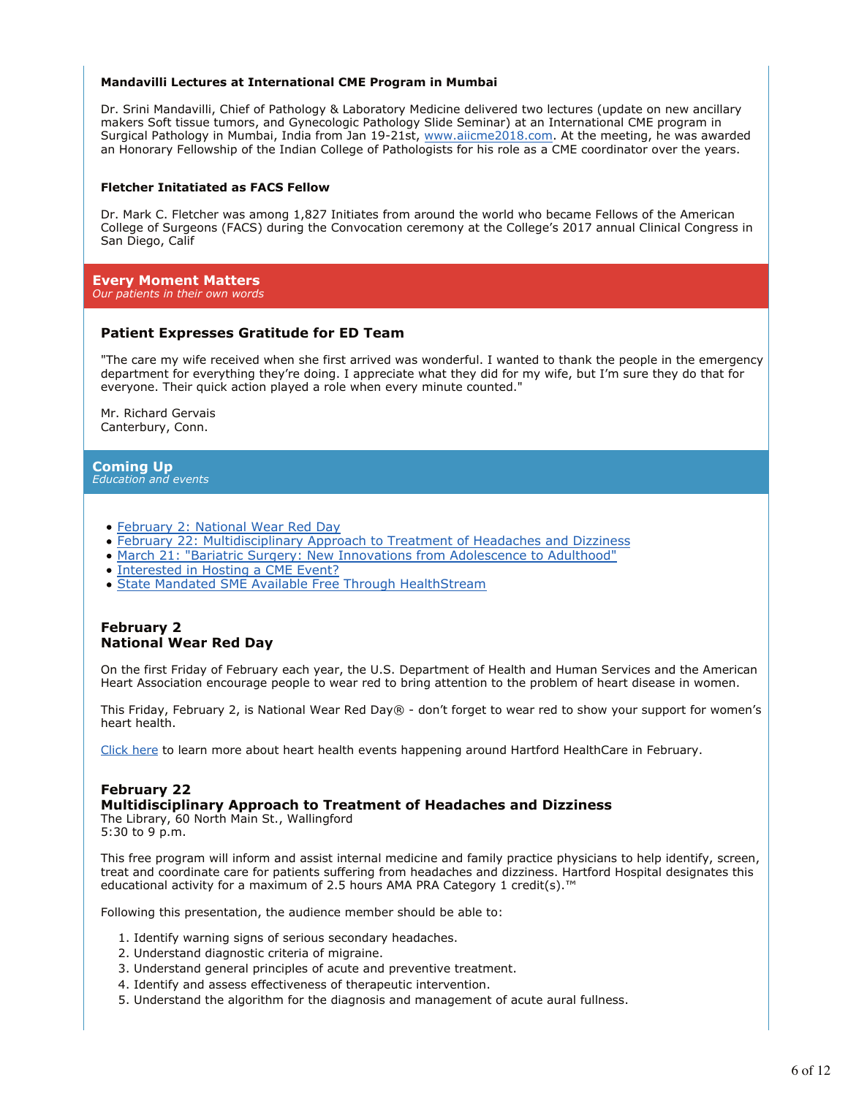#### **Mandavilli Lectures at International CME Program in Mumbai**

Dr. Srini Mandavilli, Chief of Pathology & Laboratory Medicine delivered two lectures (update on new ancillary makers Soft tissue tumors, and Gynecologic Pathology Slide Seminar) at an International CME program in Surgical Pathology in Mumbai, India from Jan 19-21st, www.aiicme2018.com. At the meeting, he was awarded an Honorary Fellowship of the Indian College of Pathologists for his role as a CME coordinator over the years.

#### **Fletcher Initatiated as FACS Fellow**

Dr. Mark C. Fletcher was among 1,827 Initiates from around the world who became Fellows of the American College of Surgeons (FACS) during the Convocation ceremony at the College's 2017 annual Clinical Congress in San Diego, Calif

# **Every Moment Matters**

# *Our patients in their own words*

### **Patient Expresses Gratitude for ED Team**

"The care my wife received when she first arrived was wonderful. I wanted to thank the people in the emergency department for everything they're doing. I appreciate what they did for my wife, but I'm sure they do that for everyone. Their quick action played a role when every minute counted."

Mr. Richard Gervais Canterbury, Conn.

# **Coming Up**

*Education and events*

- February 2: National Wear Red Day
- February 22: Multidisciplinary Approach to Treatment of Headaches and Dizziness
- March 21: "Bariatric Surgery: New Innovations from Adolescence to Adulthood"
- Interested in Hosting a CME Event?
- State Mandated SME Available Free Through HealthStream

# **February 2 National Wear Red Day**

On the first Friday of February each year, the U.S. Department of Health and Human Services and the American Heart Association encourage people to wear red to bring attention to the problem of heart disease in women.

This Friday, February 2, is National Wear Red Day® - don't forget to wear red to show your support for women's heart health.

Click here to learn more about heart health events happening around Hartford HealthCare in February.

# **February 22**

### **Multidisciplinary Approach to Treatment of Headaches and Dizziness**

The Library, 60 North Main St., Wallingford 5:30 to 9 p.m.

This free program will inform and assist internal medicine and family practice physicians to help identify, screen, treat and coordinate care for patients suffering from headaches and dizziness. Hartford Hospital designates this educational activity for a maximum of 2.5 hours AMA PRA Category 1 credit(s).™

Following this presentation, the audience member should be able to:

- 1. Identify warning signs of serious secondary headaches.
- 2. Understand diagnostic criteria of migraine.
- 3. Understand general principles of acute and preventive treatment.
- 4. Identify and assess effectiveness of therapeutic intervention.
- 5. Understand the algorithm for the diagnosis and management of acute aural fullness.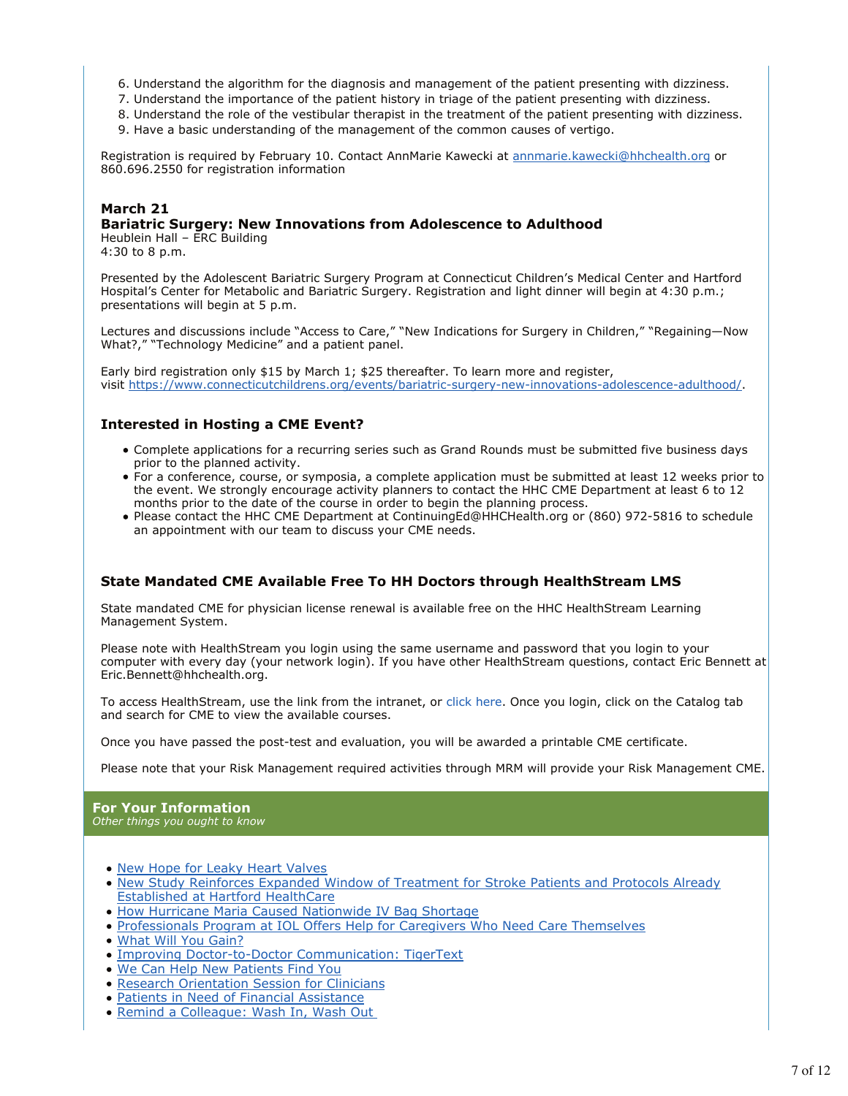- 6. Understand the algorithm for the diagnosis and management of the patient presenting with dizziness.
- 7. Understand the importance of the patient history in triage of the patient presenting with dizziness.
- 8. Understand the role of the vestibular therapist in the treatment of the patient presenting with dizziness. 9. Have a basic understanding of the management of the common causes of vertigo.

Registration is required by February 10. Contact AnnMarie Kawecki at annmarie.kawecki@hhchealth.org or 860.696.2550 for registration information

# **March 21**

# **Bariatric Surgery: New Innovations from Adolescence to Adulthood**

Heublein Hall – ERC Building 4:30 to 8 p.m.

Presented by the Adolescent Bariatric Surgery Program at Connecticut Children's Medical Center and Hartford Hospital's Center for Metabolic and Bariatric Surgery. Registration and light dinner will begin at 4:30 p.m.; presentations will begin at 5 p.m.

Lectures and discussions include "Access to Care," "New Indications for Surgery in Children," "Regaining—Now What?," "Technology Medicine" and a patient panel.

Early bird registration only \$15 by March 1; \$25 thereafter. To learn more and register, visit https://www.connecticutchildrens.org/events/bariatric-surgery-new-innovations-adolescence-adulthood/.

# **Interested in Hosting a CME Event?**

- Complete applications for a recurring series such as Grand Rounds must be submitted five business days prior to the planned activity.
- For a conference, course, or symposia, a complete application must be submitted at least 12 weeks prior to the event. We strongly encourage activity planners to contact the HHC CME Department at least 6 to 12 months prior to the date of the course in order to begin the planning process.
- Please contact the HHC CME Department at ContinuingEd@HHCHealth.org or (860) 972-5816 to schedule an appointment with our team to discuss your CME needs.

# **State Mandated CME Available Free To HH Doctors through HealthStream LMS**

State mandated CME for physician license renewal is available free on the HHC HealthStream Learning Management System.

Please note with HealthStream you login using the same username and password that you login to your computer with every day (your network login). If you have other HealthStream questions, contact Eric Bennett at Eric.Bennett@hhchealth.org.

To access HealthStream, use the link from the intranet, or click here. Once you login, click on the Catalog tab and search for CME to view the available courses.

Once you have passed the post-test and evaluation, you will be awarded a printable CME certificate.

Please note that your Risk Management required activities through MRM will provide your Risk Management CME.

#### **For Your Information** *Other things you ought to know*

- New Hope for Leaky Heart Valves
- New Study Reinforces Expanded Window of Treatment for Stroke Patients and Protocols Already Established at Hartford HealthCare
- How Hurricane Maria Caused Nationwide IV Bag Shortage
- Professionals Program at IOL Offers Help for Caregivers Who Need Care Themselves
- What Will You Gain?
- Improving Doctor-to-Doctor Communication: TigerText
- We Can Help New Patients Find You
- **Research Orientation Session for Clinicians**
- Patients in Need of Financial Assistance
- $\bullet$ Remind a Colleague: Wash In, Wash Out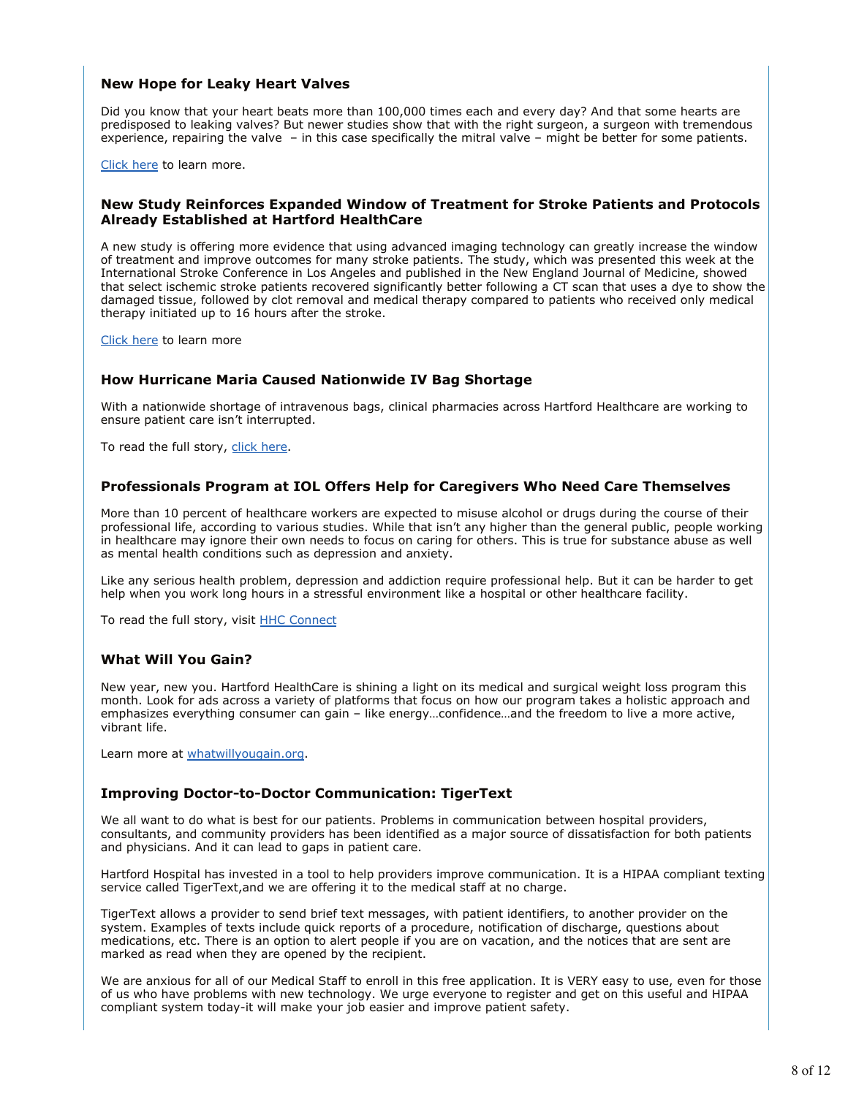# **New Hope for Leaky Heart Valves**

Did you know that your heart beats more than 100,000 times each and every day? And that some hearts are predisposed to leaking valves? But newer studies show that with the right surgeon, a surgeon with tremendous experience, repairing the valve – in this case specifically the mitral valve – might be better for some patients.

Click here to learn more.

### **New Study Reinforces Expanded Window of Treatment for Stroke Patients and Protocols Already Established at Hartford HealthCare**

A new study is offering more evidence that using advanced imaging technology can greatly increase the window of treatment and improve outcomes for many stroke patients. The study, which was presented this week at the International Stroke Conference in Los Angeles and published in the New England Journal of Medicine, showed that select ischemic stroke patients recovered significantly better following a CT scan that uses a dye to show the damaged tissue, followed by clot removal and medical therapy compared to patients who received only medical therapy initiated up to 16 hours after the stroke.

Click here to learn more

# **How Hurricane Maria Caused Nationwide IV Bag Shortage**

With a nationwide shortage of intravenous bags, clinical pharmacies across Hartford Healthcare are working to ensure patient care isn't interrupted.

To read the full story, click here.

### **Professionals Program at IOL Offers Help for Caregivers Who Need Care Themselves**

More than 10 percent of healthcare workers are expected to misuse alcohol or drugs during the course of their professional life, according to various studies. While that isn't any higher than the general public, people working in healthcare may ignore their own needs to focus on caring for others. This is true for substance abuse as well as mental health conditions such as depression and anxiety.

Like any serious health problem, depression and addiction require professional help. But it can be harder to get help when you work long hours in a stressful environment like a hospital or other healthcare facility.

To read the full story, visit **HHC Connect** 

# **What Will You Gain?**

New year, new you. Hartford HealthCare is shining a light on its medical and surgical weight loss program this month. Look for ads across a variety of platforms that focus on how our program takes a holistic approach and emphasizes everything consumer can gain – like energy…confidence…and the freedom to live a more active, vibrant life.

Learn more at whatwillyougain.org.

### **Improving Doctor-to-Doctor Communication: TigerText**

We all want to do what is best for our patients. Problems in communication between hospital providers, consultants, and community providers has been identified as a major source of dissatisfaction for both patients and physicians. And it can lead to gaps in patient care.

Hartford Hospital has invested in a tool to help providers improve communication. It is a HIPAA compliant texting service called TigerText,and we are offering it to the medical staff at no charge.

TigerText allows a provider to send brief text messages, with patient identifiers, to another provider on the system. Examples of texts include quick reports of a procedure, notification of discharge, questions about medications, etc. There is an option to alert people if you are on vacation, and the notices that are sent are marked as read when they are opened by the recipient.

We are anxious for all of our Medical Staff to enroll in this free application. It is VERY easy to use, even for those of us who have problems with new technology. We urge everyone to register and get on this useful and HIPAA compliant system today-it will make your job easier and improve patient safety.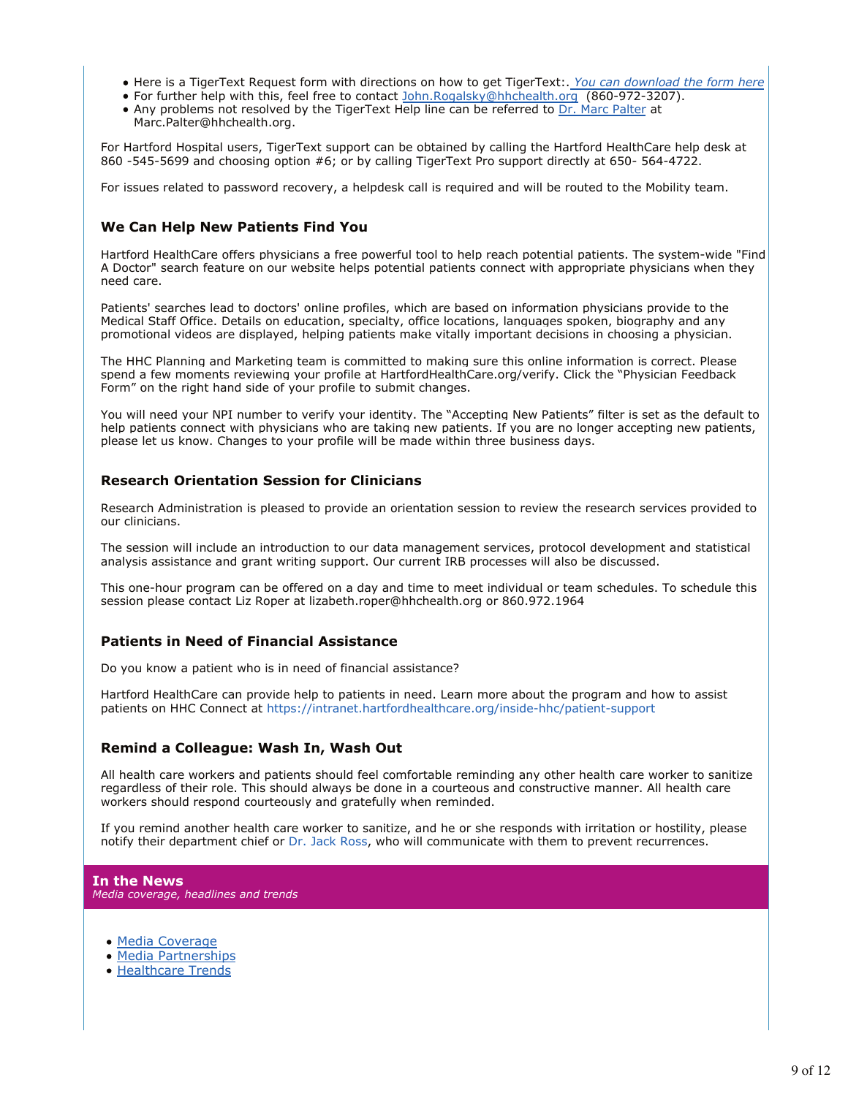- Here is a TigerText Request form with directions on how to get TigerText:. *You can download the form here*
- For further help with this, feel free to contact John.Rogalsky@hhchealth.org (860-972-3207).
- Any problems not resolved by the TigerText Help line can be referred to Dr. Marc Palter at Marc.Palter@hhchealth.org.

For Hartford Hospital users, TigerText support can be obtained by calling the Hartford HealthCare help desk at 860 -545-5699 and choosing option #6; or by calling TigerText Pro support directly at 650- 564-4722.

For issues related to password recovery, a helpdesk call is required and will be routed to the Mobility team.

# **We Can Help New Patients Find You**

Hartford HealthCare offers physicians a free powerful tool to help reach potential patients. The system-wide "Find A Doctor" search feature on our website helps potential patients connect with appropriate physicians when they need care.

Patients' searches lead to doctors' online profiles, which are based on information physicians provide to the Medical Staff Office. Details on education, specialty, office locations, languages spoken, biography and any promotional videos are displayed, helping patients make vitally important decisions in choosing a physician.

The HHC Planning and Marketing team is committed to making sure this online information is correct. Please spend a few moments reviewing your profile at HartfordHealthCare.org/verify. Click the "Physician Feedback Form" on the right hand side of your profile to submit changes.

You will need your NPI number to verify your identity. The "Accepting New Patients" filter is set as the default to help patients connect with physicians who are taking new patients. If you are no longer accepting new patients, please let us know. Changes to your profile will be made within three business days.

# **Research Orientation Session for Clinicians**

Research Administration is pleased to provide an orientation session to review the research services provided to our clinicians.

The session will include an introduction to our data management services, protocol development and statistical analysis assistance and grant writing support. Our current IRB processes will also be discussed.

This one-hour program can be offered on a day and time to meet individual or team schedules. To schedule this session please contact Liz Roper at lizabeth.roper@hhchealth.org or 860.972.1964

# **Patients in Need of Financial Assistance**

Do you know a patient who is in need of financial assistance?

Hartford HealthCare can provide help to patients in need. Learn more about the program and how to assist patients on HHC Connect at https://intranet.hartfordhealthcare.org/inside-hhc/patient-support

# **Remind a Colleague: Wash In, Wash Out**

All health care workers and patients should feel comfortable reminding any other health care worker to sanitize regardless of their role. This should always be done in a courteous and constructive manner. All health care workers should respond courteously and gratefully when reminded.

If you remind another health care worker to sanitize, and he or she responds with irritation or hostility, please notify their department chief or Dr. Jack Ross, who will communicate with them to prevent recurrences.

# **In the News**

*Media coverage, headlines and trends*

- · Media Coverage
- Media Partnerships
- Healthcare Trends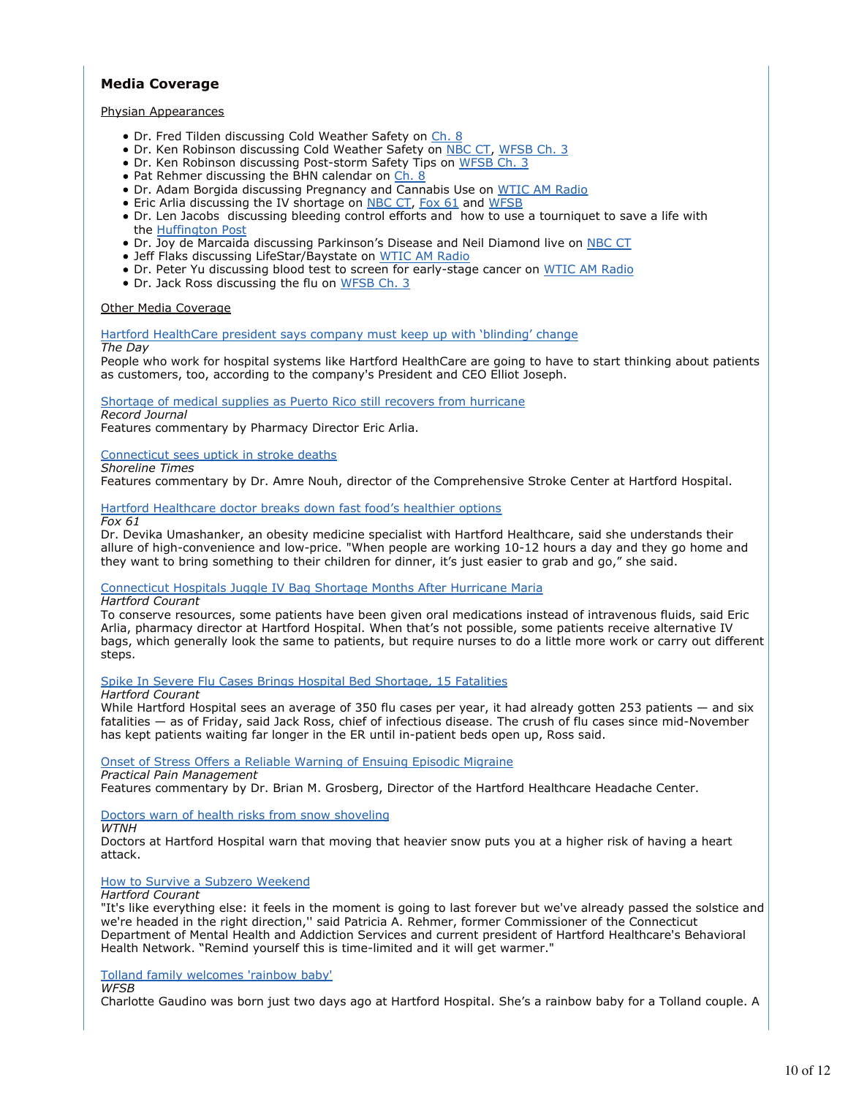# **Media Coverage**

#### Physian Appearances

- Dr. Fred Tilden discussing Cold Weather Safety on Ch. 8
- Dr. Ken Robinson discussing Cold Weather Safety on NBC CT, WFSB Ch. 3
- Dr. Ken Robinson discussing Post-storm Safety Tips on WFSB Ch. 3
- Pat Rehmer discussing the BHN calendar on Ch. 8
- Dr. Adam Borgida discussing Pregnancy and Cannabis Use on WTIC AM Radio
- Eric Arlia discussing the IV shortage on **NBC CT**, Fox 61 and WFSB
- Dr. Len Jacobs discussing bleeding control efforts and how to use a tourniquet to save a life with the Huffington Post
- Dr. Joy de Marcaida discussing Parkinson's Disease and Neil Diamond live on NBC CT
- Jeff Flaks discussing LifeStar/Baystate on WTIC AM Radio
- Dr. Peter Yu discussing blood test to screen for early-stage cancer on WTIC AM Radio
- Dr. Jack Ross discussing the flu on WFSB Ch. 3

#### Other Media Coverage

Hartford HealthCare president says company must keep up with 'blinding' change

#### *The Day*

People who work for hospital systems like Hartford HealthCare are going to have to start thinking about patients as customers, too, according to the company's President and CEO Elliot Joseph.

#### Shortage of medical supplies as Puerto Rico still recovers from hurricane

#### *Record Journal*

Features commentary by Pharmacy Director Eric Arlia.

#### Connecticut sees uptick in stroke deaths

#### *Shoreline Times*

Features commentary by Dr. Amre Nouh, director of the Comprehensive Stroke Center at Hartford Hospital.

### Hartford Healthcare doctor breaks down fast food's healthier options

*Fox 61*

Dr. Devika Umashanker, an obesity medicine specialist with Hartford Healthcare, said she understands their allure of high-convenience and low-price. "When people are working 10-12 hours a day and they go home and they want to bring something to their children for dinner, it's just easier to grab and go," she said.

### Connecticut Hospitals Juggle IV Bag Shortage Months After Hurricane Maria

*Hartford Courant*

To conserve resources, some patients have been given oral medications instead of intravenous fluids, said Eric Arlia, pharmacy director at Hartford Hospital. When that's not possible, some patients receive alternative IV bags, which generally look the same to patients, but require nurses to do a little more work or carry out different steps.

Spike In Severe Flu Cases Brings Hospital Bed Shortage, 15 Fatalities

*Hartford Courant*

While Hartford Hospital sees an average of 350 flu cases per year, it had already gotten 253 patients — and six fatalities — as of Friday, said Jack Ross, chief of infectious disease. The crush of flu cases since mid-November has kept patients waiting far longer in the ER until in-patient beds open up, Ross said.

Onset of Stress Offers a Reliable Warning of Ensuing Episodic Migraine

*Practical Pain Management* Features commentary by Dr. Brian M. Grosberg, Director of the Hartford Healthcare Headache Center.

### Doctors warn of health risks from snow shoveling

*WTNH*

Doctors at Hartford Hospital warn that moving that heavier snow puts you at a higher risk of having a heart attack.

### How to Survive a Subzero Weekend

*Hartford Courant*

"It's like everything else: it feels in the moment is going to last forever but we've already passed the solstice and we're headed in the right direction,'' said Patricia A. Rehmer, former Commissioner of the Connecticut Department of Mental Health and Addiction Services and current president of Hartford Healthcare's Behavioral Health Network. "Remind yourself this is time-limited and it will get warmer."

### Tolland family welcomes 'rainbow baby'

*WFSB*

Charlotte Gaudino was born just two days ago at Hartford Hospital. She's a rainbow baby for a Tolland couple. A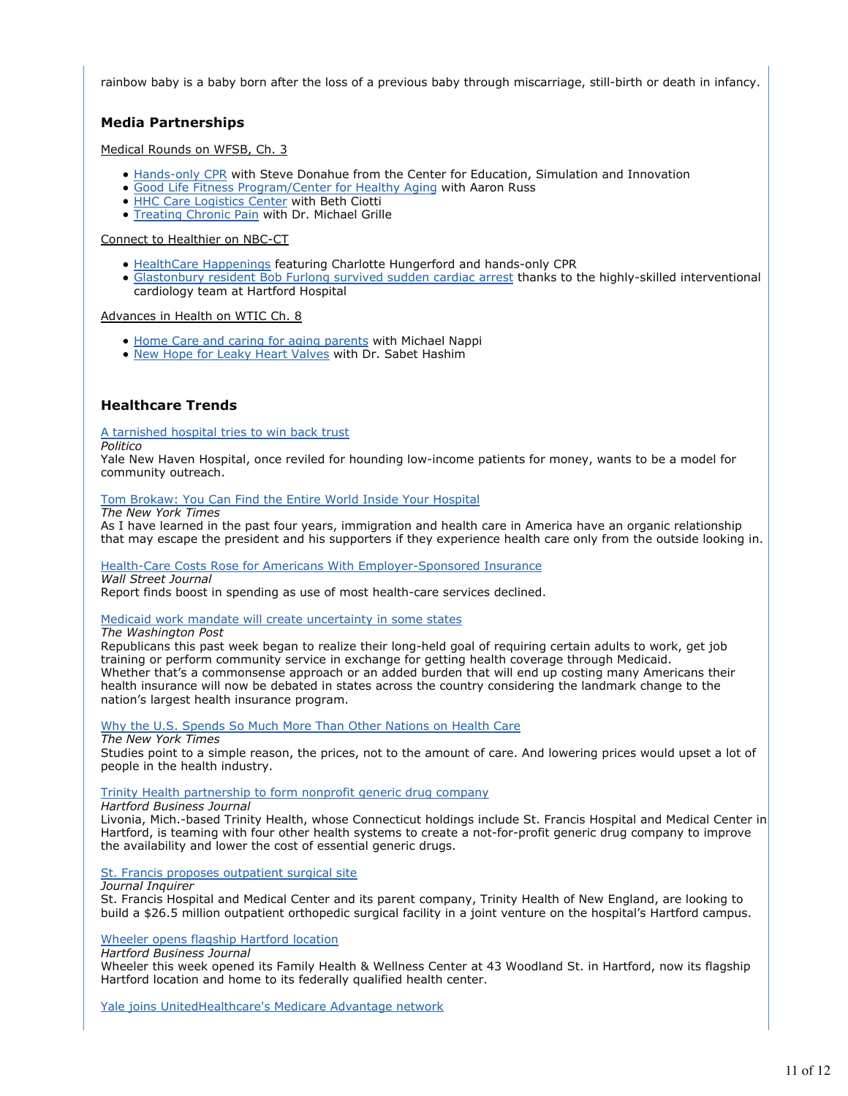rainbow baby is a baby born after the loss of a previous baby through miscarriage, still-birth or death in infancy.

# **Media Partnerships**

### Medical Rounds on WFSB, Ch. 3

- Hands-only CPR with Steve Donahue from the Center for Education, Simulation and Innovation
- Good Life Fitness Program/Center for Healthy Aging with Aaron Russ
- HHC Care Logistics Center with Beth Ciotti
- **Treating Chronic Pain with Dr. Michael Grille**

#### Connect to Healthier on NBC-CT

- HealthCare Happenings featuring Charlotte Hungerford and hands-only CPR
- Glastonbury resident Bob Furlong survived sudden cardiac arrest thanks to the highly-skilled interventional cardiology team at Hartford Hospital

#### Advances in Health on WTIC Ch. 8

- Home Care and caring for aging parents with Michael Nappi
- New Hope for Leaky Heart Valves with Dr. Sabet Hashim

# **Healthcare Trends**

### A tarnished hospital tries to win back trust

#### *Politico*

Yale New Haven Hospital, once reviled for hounding low-income patients for money, wants to be a model for community outreach.

### Tom Brokaw: You Can Find the Entire World Inside Your Hospital

#### *The New York Times*

As I have learned in the past four years, immigration and health care in America have an organic relationship that may escape the president and his supporters if they experience health care only from the outside looking in.

### Health-Care Costs Rose for Americans With Employer-Sponsored Insurance

*Wall Street Journal*

Report finds boost in spending as use of most health-care services declined.

### Medicaid work mandate will create uncertainty in some states

#### *The Washington Post*

Republicans this past week began to realize their long-held goal of requiring certain adults to work, get job training or perform community service in exchange for getting health coverage through Medicaid. Whether that's a commonsense approach or an added burden that will end up costing many Americans their health insurance will now be debated in states across the country considering the landmark change to the nation's largest health insurance program.

### Why the U.S. Spends So Much More Than Other Nations on Health Care

#### *The New York Times*

Studies point to a simple reason, the prices, not to the amount of care. And lowering prices would upset a lot of people in the health industry.

### Trinity Health partnership to form nonprofit generic drug company

#### *Hartford Business Journal*

Livonia, Mich.-based Trinity Health, whose Connecticut holdings include St. Francis Hospital and Medical Center in Hartford, is teaming with four other health systems to create a not-for-profit generic drug company to improve the availability and lower the cost of essential generic drugs.

St. Francis proposes outpatient surgical site

*Journal Inquirer*

St. Francis Hospital and Medical Center and its parent company, Trinity Health of New England, are looking to build a \$26.5 million outpatient orthopedic surgical facility in a joint venture on the hospital's Hartford campus.

#### Wheeler opens flagship Hartford location

*Hartford Business Journal*

Wheeler this week opened its Family Health & Wellness Center at 43 Woodland St. in Hartford, now its flagship Hartford location and home to its federally qualified health center.

Yale joins UnitedHealthcare's Medicare Advantage network